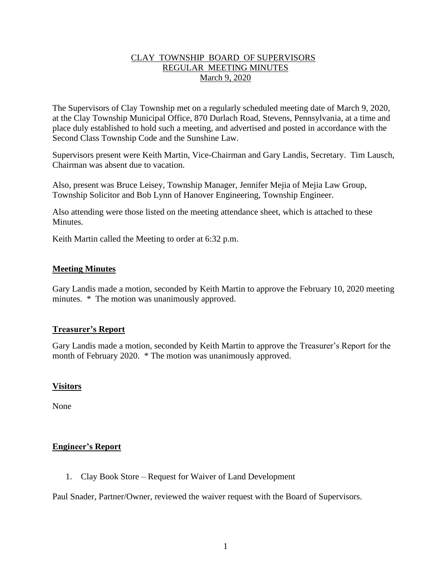# CLAY TOWNSHIP BOARD OF SUPERVISORS REGULAR MEETING MINUTES March 9, 2020

The Supervisors of Clay Township met on a regularly scheduled meeting date of March 9, 2020, at the Clay Township Municipal Office, 870 Durlach Road, Stevens, Pennsylvania, at a time and place duly established to hold such a meeting, and advertised and posted in accordance with the Second Class Township Code and the Sunshine Law.

Supervisors present were Keith Martin, Vice-Chairman and Gary Landis, Secretary. Tim Lausch, Chairman was absent due to vacation.

Also, present was Bruce Leisey, Township Manager, Jennifer Mejia of Mejia Law Group, Township Solicitor and Bob Lynn of Hanover Engineering, Township Engineer.

Also attending were those listed on the meeting attendance sheet, which is attached to these **Minutes** 

Keith Martin called the Meeting to order at 6:32 p.m.

# **Meeting Minutes**

Gary Landis made a motion, seconded by Keith Martin to approve the February 10, 2020 meeting minutes. \* The motion was unanimously approved.

## **Treasurer's Report**

Gary Landis made a motion, seconded by Keith Martin to approve the Treasurer's Report for the month of February 2020. \* The motion was unanimously approved.

## **Visitors**

None

## **Engineer's Report**

1. Clay Book Store – Request for Waiver of Land Development

Paul Snader, Partner/Owner, reviewed the waiver request with the Board of Supervisors.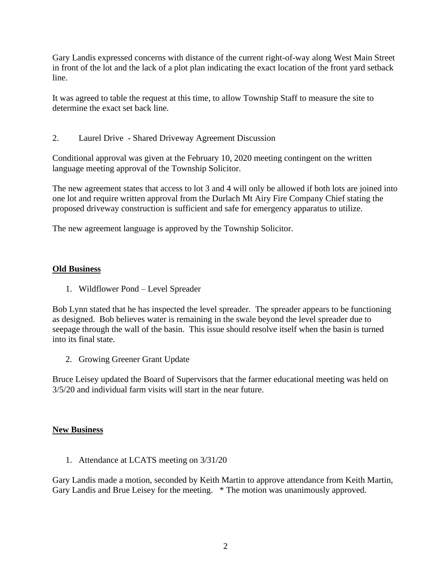Gary Landis expressed concerns with distance of the current right-of-way along West Main Street in front of the lot and the lack of a plot plan indicating the exact location of the front yard setback line.

It was agreed to table the request at this time, to allow Township Staff to measure the site to determine the exact set back line.

2. Laurel Drive - Shared Driveway Agreement Discussion

Conditional approval was given at the February 10, 2020 meeting contingent on the written language meeting approval of the Township Solicitor.

The new agreement states that access to lot 3 and 4 will only be allowed if both lots are joined into one lot and require written approval from the Durlach Mt Airy Fire Company Chief stating the proposed driveway construction is sufficient and safe for emergency apparatus to utilize.

The new agreement language is approved by the Township Solicitor.

# **Old Business**

1. Wildflower Pond – Level Spreader

Bob Lynn stated that he has inspected the level spreader. The spreader appears to be functioning as designed. Bob believes water is remaining in the swale beyond the level spreader due to seepage through the wall of the basin. This issue should resolve itself when the basin is turned into its final state.

2. Growing Greener Grant Update

Bruce Leisey updated the Board of Supervisors that the farmer educational meeting was held on 3/5/20 and individual farm visits will start in the near future.

## **New Business**

1. Attendance at LCATS meeting on 3/31/20

Gary Landis made a motion, seconded by Keith Martin to approve attendance from Keith Martin, Gary Landis and Brue Leisey for the meeting. \* The motion was unanimously approved.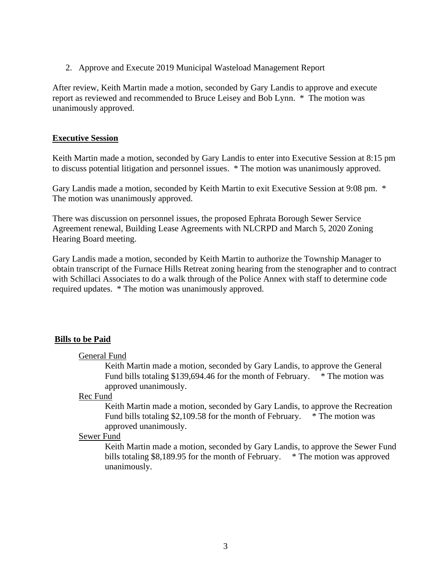2. Approve and Execute 2019 Municipal Wasteload Management Report

After review, Keith Martin made a motion, seconded by Gary Landis to approve and execute report as reviewed and recommended to Bruce Leisey and Bob Lynn. \* The motion was unanimously approved.

# **Executive Session**

Keith Martin made a motion, seconded by Gary Landis to enter into Executive Session at 8:15 pm to discuss potential litigation and personnel issues. \* The motion was unanimously approved.

Gary Landis made a motion, seconded by Keith Martin to exit Executive Session at 9:08 pm. \* The motion was unanimously approved.

There was discussion on personnel issues, the proposed Ephrata Borough Sewer Service Agreement renewal, Building Lease Agreements with NLCRPD and March 5, 2020 Zoning Hearing Board meeting.

Gary Landis made a motion, seconded by Keith Martin to authorize the Township Manager to obtain transcript of the Furnace Hills Retreat zoning hearing from the stenographer and to contract with Schillaci Associates to do a walk through of the Police Annex with staff to determine code required updates. \* The motion was unanimously approved.

# **Bills to be Paid**

## General Fund

Keith Martin made a motion, seconded by Gary Landis, to approve the General Fund bills totaling \$139,694.46 for the month of February. \* The motion was approved unanimously.

## Rec Fund

Keith Martin made a motion, seconded by Gary Landis, to approve the Recreation Fund bills totaling \$2,109.58 for the month of February. \* The motion was approved unanimously.

# Sewer Fund

Keith Martin made a motion, seconded by Gary Landis, to approve the Sewer Fund bills totaling \$8,189.95 for the month of February. \* The motion was approved unanimously.